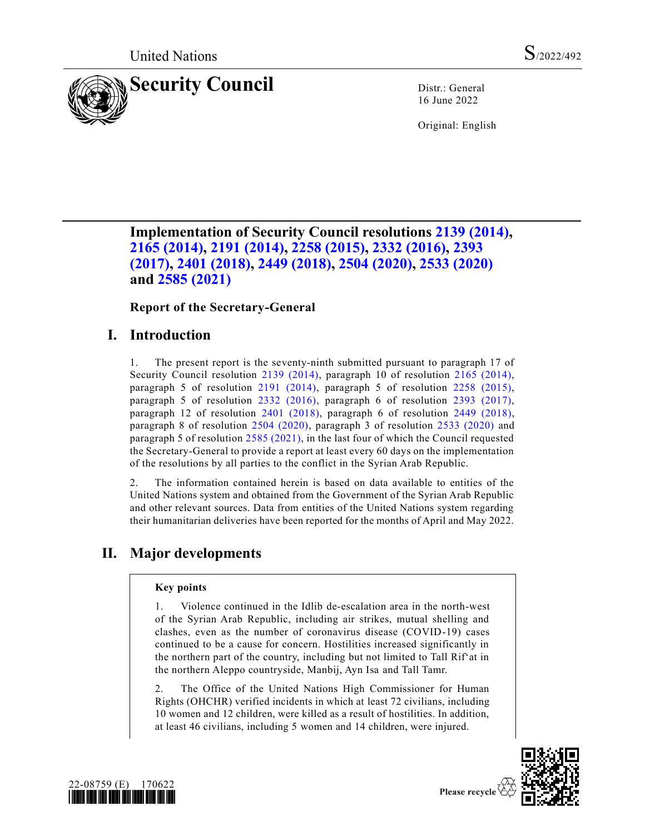

16 June 2022

Original: English

# **Implementation of Security Council resolutions [2139 \(2014\),](https://undocs.org/en/S/RES/2139(2014)) [2165 \(2014\),](https://undocs.org/en/S/RES/2165(2014)) [2191 \(2014\),](https://undocs.org/en/S/RES/2191(2014)) [2258 \(2015\),](https://undocs.org/en/S/RES/2258(2015)) [2332 \(2016\),](https://undocs.org/en/S/RES/2332(2016)) [2393](https://undocs.org/en/S/RES/2393(2017))  [\(2017\),](https://undocs.org/en/S/RES/2393(2017)) [2401 \(2018\),](https://undocs.org/en/S/RES/2401(2018)) [2449 \(2018\),](https://undocs.org/en/S/RES/2449(2018)) [2504 \(2020\),](https://undocs.org/en/S/RES/2504(2020)) [2533 \(2020\)](https://undocs.org/en/S/RES/2533(2020)) and [2585 \(2021\)](https://undocs.org/en/S/RES/2585(2021))**

## **Report of the Secretary-General**

# **I. Introduction**

1. The present report is the seventy-ninth submitted pursuant to paragraph 17 of Security Council resolution [2139 \(2014\),](https://undocs.org/en/S/RES/2139(2014)) paragraph 10 of resolution [2165 \(2014\),](https://undocs.org/en/S/RES/2165(2014)) paragraph 5 of resolution [2191 \(2014\),](https://undocs.org/en/S/RES/2191(2014)) paragraph 5 of resolution [2258 \(2015\),](https://undocs.org/en/S/RES/2258(2015)) paragraph 5 of resolution [2332 \(2016\),](https://undocs.org/en/S/RES/2332(2016)) paragraph 6 of resolution [2393 \(2017\),](https://undocs.org/en/S/RES/2393(2017)) paragraph 12 of resolution [2401 \(2018\),](https://undocs.org/en/S/RES/2401(2018)) paragraph 6 of resolution [2449 \(2018\),](https://undocs.org/en/S/RES/2449(2018)) paragraph 8 of resolution [2504 \(2020\),](https://undocs.org/en/S/RES/2504(2020)) paragraph 3 of resolution [2533 \(2020\)](https://undocs.org/en/S/RES/2533(2020)) and paragraph 5 of resolution [2585 \(2021\),](https://undocs.org/en/S/RES/2585(2021)) in the last four of which the Council requested the Secretary-General to provide a report at least every 60 days on the implementation of the resolutions by all parties to the conflict in the Syrian Arab Republic.

2. The information contained herein is based on data available to entities of the United Nations system and obtained from the Government of the Syrian Arab Republic and other relevant sources. Data from entities of the United Nations system regarding their humanitarian deliveries have been reported for the months of April and May 2022.

# **II. Major developments**

## **Key points**

1. Violence continued in the Idlib de-escalation area in the north-west of the Syrian Arab Republic, including air strikes, mutual shelling and clashes, even as the number of coronavirus disease (COVID-19) cases continued to be a cause for concern. Hostilities increased significantly in the northern part of the country, including but not limited to Tall Rif'at in the northern Aleppo countryside, Manbij, Ayn Isa and Tall Tamr.

2. The Office of the United Nations High Commissioner for Human Rights (OHCHR) verified incidents in which at least 72 civilians, including 10 women and 12 children, were killed as a result of hostilities. In addition, at least 46 civilians, including 5 women and 14 children, were injured.



Please recycle

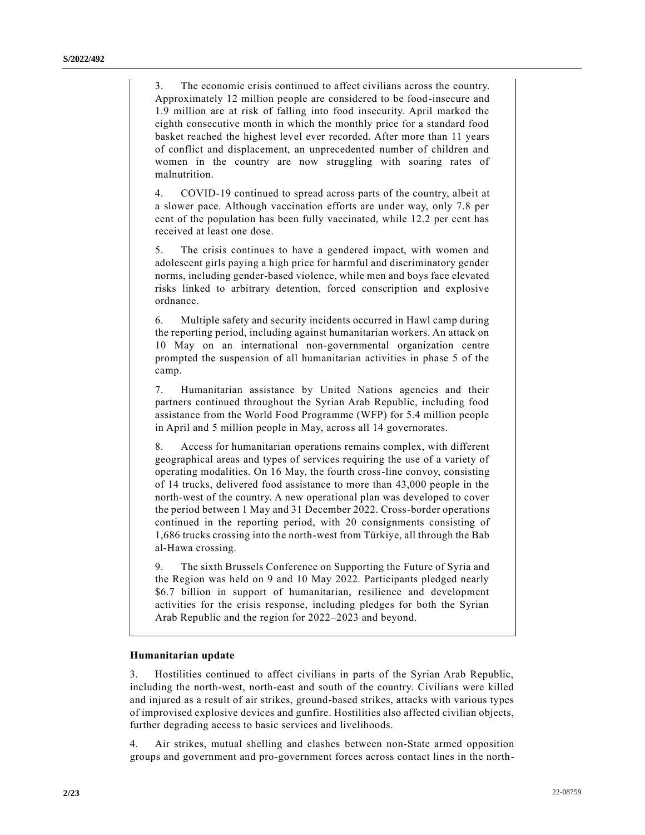3. The economic crisis continued to affect civilians across the country. Approximately 12 million people are considered to be food-insecure and 1.9 million are at risk of falling into food insecurity. April marked the eighth consecutive month in which the monthly price for a standard food basket reached the highest level ever recorded. After more than 11 years of conflict and displacement, an unprecedented number of children and women in the country are now struggling with soaring rates of malnutrition.

4. COVID-19 continued to spread across parts of the country, albeit at a slower pace. Although vaccination efforts are under way, only 7.8 per cent of the population has been fully vaccinated, while 12.2 per cent has received at least one dose.

5. The crisis continues to have a gendered impact, with women and adolescent girls paying a high price for harmful and discriminatory gender norms, including gender-based violence, while men and boys face elevated risks linked to arbitrary detention, forced conscription and explosive ordnance.

6. Multiple safety and security incidents occurred in Hawl camp during the reporting period, including against humanitarian workers. An attack on 10 May on an international non-governmental organization centre prompted the suspension of all humanitarian activities in phase 5 of the camp.

7. Humanitarian assistance by United Nations agencies and their partners continued throughout the Syrian Arab Republic, including food assistance from the World Food Programme (WFP) for 5.4 million people in April and 5 million people in May, across all 14 governorates.

8. Access for humanitarian operations remains complex, with different geographical areas and types of services requiring the use of a variety of operating modalities. On 16 May, the fourth cross-line convoy, consisting of 14 trucks, delivered food assistance to more than 43,000 people in the north-west of the country. A new operational plan was developed to cover the period between 1 May and 31 December 2022. Cross-border operations continued in the reporting period, with 20 consignments consisting of 1,686 trucks crossing into the north-west from Türkiye, all through the Bab al-Hawa crossing.

9. The sixth Brussels Conference on Supporting the Future of Syria and the Region was held on 9 and 10 May 2022. Participants pledged nearly \$6.7 billion in support of humanitarian, resilience and development activities for the crisis response, including pledges for both the Syrian Arab Republic and the region for 2022–2023 and beyond.

## **Humanitarian update**

3. Hostilities continued to affect civilians in parts of the Syrian Arab Republic, including the north-west, north-east and south of the country. Civilians were killed and injured as a result of air strikes, ground-based strikes, attacks with various types of improvised explosive devices and gunfire. Hostilities also affected civilian objects, further degrading access to basic services and livelihoods.

4. Air strikes, mutual shelling and clashes between non-State armed opposition groups and government and pro-government forces across contact lines in the north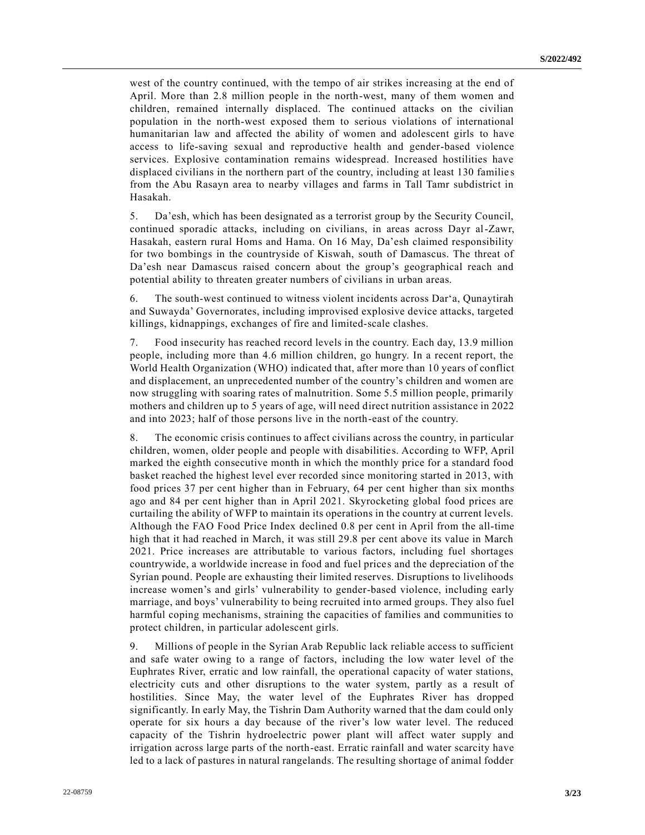west of the country continued, with the tempo of air strikes increasing at the end of April. More than 2.8 million people in the north-west, many of them women and children, remained internally displaced. The continued attacks on the civilian population in the north-west exposed them to serious violations of international humanitarian law and affected the ability of women and adolescent girls to have access to life-saving sexual and reproductive health and gender-based violence services. Explosive contamination remains widespread. Increased hostilities have displaced civilians in the northern part of the country, including at least 130 familie s from the Abu Rasayn area to nearby villages and farms in Tall Tamr subdistrict in Hasakah.

5. Da'esh, which has been designated as a terrorist group by the Security Council, continued sporadic attacks, including on civilians, in areas across Dayr al-Zawr, Hasakah, eastern rural Homs and Hama. On 16 May, Da'esh claimed responsibility for two bombings in the countryside of Kiswah, south of Damascus. The threat of Da'esh near Damascus raised concern about the group's geographical reach and potential ability to threaten greater numbers of civilians in urban areas.

6. The south-west continued to witness violent incidents across Dar'a, Qunaytirah and Suwayda' Governorates, including improvised explosive device attacks, targeted killings, kidnappings, exchanges of fire and limited-scale clashes.

7. Food insecurity has reached record levels in the country. Each day, 13.9 million people, including more than 4.6 million children, go hungry. In a recent report, the World Health Organization (WHO) indicated that, after more than 10 years of conflict and displacement, an unprecedented number of the country's children and women are now struggling with soaring rates of malnutrition. Some 5.5 million people, primarily mothers and children up to 5 years of age, will need direct nutrition assistance in 2022 and into 2023; half of those persons live in the north-east of the country.

8. The economic crisis continues to affect civilians across the country, in particular children, women, older people and people with disabilities. According to WFP, April marked the eighth consecutive month in which the monthly price for a standard food basket reached the highest level ever recorded since monitoring started in 2013, with food prices 37 per cent higher than in February, 64 per cent higher than six months ago and 84 per cent higher than in April 2021. Skyrocketing global food prices are curtailing the ability of WFP to maintain its operations in the country at current levels. Although the FAO Food Price Index declined 0.8 per cent in April from the all-time high that it had reached in March, it was still 29.8 per cent above its value in March 2021. Price increases are attributable to various factors, including fuel shortages countrywide, a worldwide increase in food and fuel prices and the depreciation of the Syrian pound. People are exhausting their limited reserves. Disruptions to livelihoods increase women's and girls' vulnerability to gender-based violence, including early marriage, and boys' vulnerability to being recruited into armed groups. They also fuel harmful coping mechanisms, straining the capacities of families and communities to protect children, in particular adolescent girls.

9. Millions of people in the Syrian Arab Republic lack reliable access to sufficient and safe water owing to a range of factors, including the low water level of the Euphrates River, erratic and low rainfall, the operational capacity of water stations, electricity cuts and other disruptions to the water system, partly as a result of hostilities. Since May, the water level of the Euphrates River has dropped significantly. In early May, the Tishrin Dam Authority warned that the dam could only operate for six hours a day because of the river's low water level. The reduced capacity of the Tishrin hydroelectric power plant will affect water supply and irrigation across large parts of the north-east. Erratic rainfall and water scarcity have led to a lack of pastures in natural rangelands. The resulting shortage of animal fodder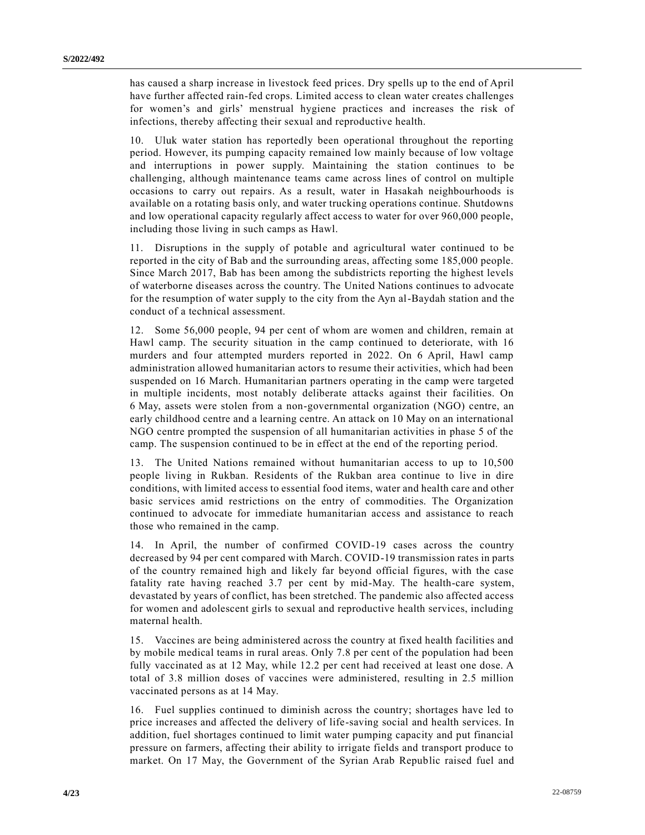has caused a sharp increase in livestock feed prices. Dry spells up to the end of April have further affected rain-fed crops. Limited access to clean water creates challenges for women's and girls' menstrual hygiene practices and increases the risk of infections, thereby affecting their sexual and reproductive health.

10. Uluk water station has reportedly been operational throughout the reporting period. However, its pumping capacity remained low mainly because of low voltage and interruptions in power supply. Maintaining the station continues to be challenging, although maintenance teams came across lines of control on multiple occasions to carry out repairs. As a result, water in Hasakah neighbourhoods is available on a rotating basis only, and water trucking operations continue. Shutdowns and low operational capacity regularly affect access to water for over 960,000 people, including those living in such camps as Hawl.

11. Disruptions in the supply of potable and agricultural water continued to be reported in the city of Bab and the surrounding areas, affecting some 185,000 people. Since March 2017, Bab has been among the subdistricts reporting the highest levels of waterborne diseases across the country. The United Nations continues to advocate for the resumption of water supply to the city from the Ayn al-Baydah station and the conduct of a technical assessment.

12. Some 56,000 people, 94 per cent of whom are women and children, remain at Hawl camp. The security situation in the camp continued to deteriorate, with 16 murders and four attempted murders reported in 2022. On 6 April, Hawl camp administration allowed humanitarian actors to resume their activities, which had been suspended on 16 March. Humanitarian partners operating in the camp were targeted in multiple incidents, most notably deliberate attacks against their facilities. On 6 May, assets were stolen from a non-governmental organization (NGO) centre, an early childhood centre and a learning centre. An attack on 10 May on an international NGO centre prompted the suspension of all humanitarian activities in phase 5 of the camp. The suspension continued to be in effect at the end of the reporting period.

13. The United Nations remained without humanitarian access to up to 10,500 people living in Rukban. Residents of the Rukban area continue to live in dire conditions, with limited access to essential food items, water and health care and other basic services amid restrictions on the entry of commodities. The Organization continued to advocate for immediate humanitarian access and assistance to reach those who remained in the camp.

14. In April, the number of confirmed COVID-19 cases across the country decreased by 94 per cent compared with March. COVID-19 transmission rates in parts of the country remained high and likely far beyond official figures, with the case fatality rate having reached 3.7 per cent by mid-May. The health-care system, devastated by years of conflict, has been stretched. The pandemic also affected access for women and adolescent girls to sexual and reproductive health services, including maternal health.

15. Vaccines are being administered across the country at fixed health facilities and by mobile medical teams in rural areas. Only 7.8 per cent of the population had been fully vaccinated as at 12 May, while 12.2 per cent had received at least one dose. A total of 3.8 million doses of vaccines were administered, resulting in 2.5 million vaccinated persons as at 14 May.

16. Fuel supplies continued to diminish across the country; shortages have led to price increases and affected the delivery of life-saving social and health services. In addition, fuel shortages continued to limit water pumping capacity and put financial pressure on farmers, affecting their ability to irrigate fields and transport produce to market. On 17 May, the Government of the Syrian Arab Republic raised fuel and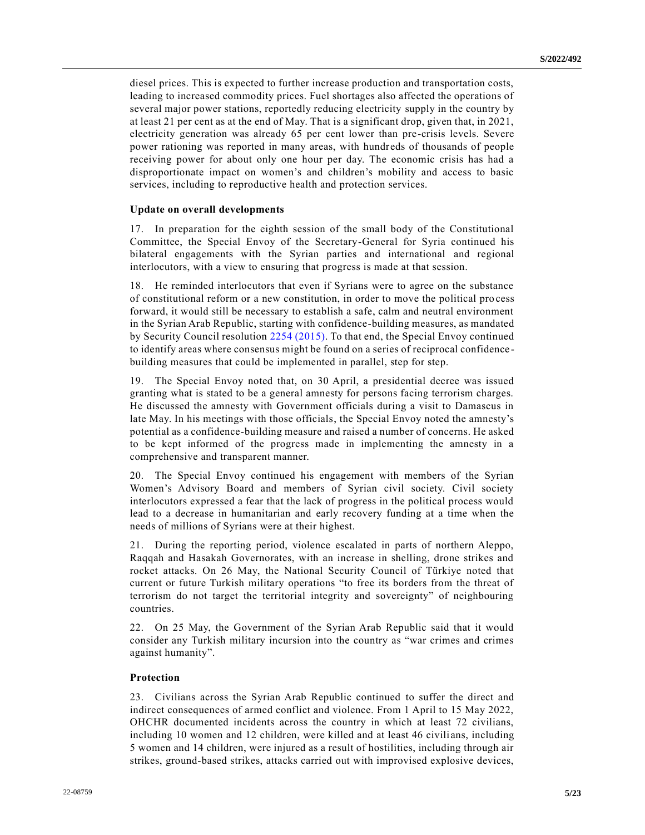diesel prices. This is expected to further increase production and transportation costs, leading to increased commodity prices. Fuel shortages also affected the operations of several major power stations, reportedly reducing electricity supply in the country by at least 21 per cent as at the end of May. That is a significant drop, given that, in 2021, electricity generation was already 65 per cent lower than pre-crisis levels. Severe power rationing was reported in many areas, with hundreds of thousands of people receiving power for about only one hour per day. The economic crisis has had a disproportionate impact on women's and children's mobility and access to basic services, including to reproductive health and protection services.

## **Update on overall developments**

17. In preparation for the eighth session of the small body of the Constitutional Committee, the Special Envoy of the Secretary-General for Syria continued his bilateral engagements with the Syrian parties and international and regional interlocutors, with a view to ensuring that progress is made at that session.

18. He reminded interlocutors that even if Syrians were to agree on the substance of constitutional reform or a new constitution, in order to move the political pro cess forward, it would still be necessary to establish a safe, calm and neutral environment in the Syrian Arab Republic, starting with confidence-building measures, as mandated by Security Council resolution [2254 \(2015\).](https://undocs.org/en/S/RES/2254(2015)) To that end, the Special Envoy continued to identify areas where consensus might be found on a series of reciprocal confidence building measures that could be implemented in parallel, step for step.

19. The Special Envoy noted that, on 30 April, a presidential decree was issued granting what is stated to be a general amnesty for persons facing terrorism charges. He discussed the amnesty with Government officials during a visit to Damascus in late May. In his meetings with those officials, the Special Envoy noted the amnesty's potential as a confidence-building measure and raised a number of concerns. He asked to be kept informed of the progress made in implementing the amnesty in a comprehensive and transparent manner.

20. The Special Envoy continued his engagement with members of the Syrian Women's Advisory Board and members of Syrian civil society. Civil society interlocutors expressed a fear that the lack of progress in the political process would lead to a decrease in humanitarian and early recovery funding at a time when the needs of millions of Syrians were at their highest.

21. During the reporting period, violence escalated in parts of northern Aleppo, Raqqah and Hasakah Governorates, with an increase in shelling, drone strikes and rocket attacks. On 26 May, the National Security Council of Türkiye noted that current or future Turkish military operations "to free its borders from the threat of terrorism do not target the territorial integrity and sovereignty" of neighbouring countries.

22. On 25 May, the Government of the Syrian Arab Republic said that it would consider any Turkish military incursion into the country as "war crimes and crimes against humanity".

#### **Protection**

23. Civilians across the Syrian Arab Republic continued to suffer the direct and indirect consequences of armed conflict and violence. From 1 April to 15 May 2022, OHCHR documented incidents across the country in which at least 72 civilians, including 10 women and 12 children, were killed and at least 46 civilians, including 5 women and 14 children, were injured as a result of hostilities, including through air strikes, ground-based strikes, attacks carried out with improvised explosive devices,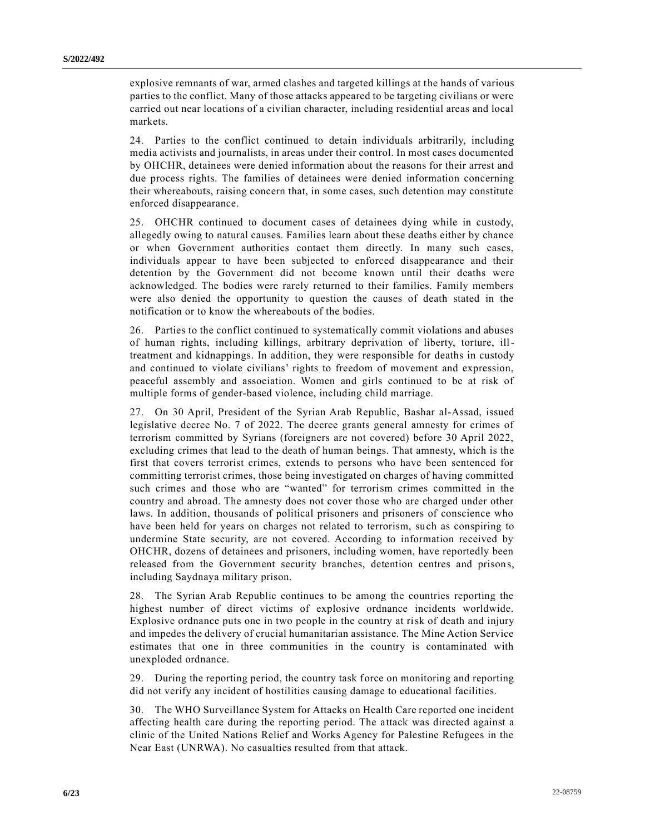explosive remnants of war, armed clashes and targeted killings at the hands of various parties to the conflict. Many of those attacks appeared to be targeting civilians or were carried out near locations of a civilian character, including residential areas and local markets.

24. Parties to the conflict continued to detain individuals arbitrarily, including media activists and journalists, in areas under their control. In most cases documented by OHCHR, detainees were denied information about the reasons for their arrest and due process rights. The families of detainees were denied information concerning their whereabouts, raising concern that, in some cases, such detention may constitute enforced disappearance.

25. OHCHR continued to document cases of detainees dying while in custody, allegedly owing to natural causes. Families learn about these deaths either by chance or when Government authorities contact them directly. In many such cases, individuals appear to have been subjected to enforced disappearance and their detention by the Government did not become known until their deaths were acknowledged. The bodies were rarely returned to their families. Family members were also denied the opportunity to question the causes of death stated in the notification or to know the whereabouts of the bodies.

26. Parties to the conflict continued to systematically commit violations and abuses of human rights, including killings, arbitrary deprivation of liberty, torture, illtreatment and kidnappings. In addition, they were responsible for deaths in custody and continued to violate civilians' rights to freedom of movement and expression, peaceful assembly and association. Women and girls continued to be at risk of multiple forms of gender-based violence, including child marriage.

27. On 30 April, President of the Syrian Arab Republic, Bashar al-Assad, issued legislative decree No. 7 of 2022. The decree grants general amnesty for crimes of terrorism committed by Syrians (foreigners are not covered) before 30 April 2022, excluding crimes that lead to the death of human beings. That amnesty, which is the first that covers terrorist crimes, extends to persons who have been sentenced for committing terrorist crimes, those being investigated on charges of having committed such crimes and those who are "wanted" for terrorism crimes committed in the country and abroad. The amnesty does not cover those who are charged under other laws. In addition, thousands of political prisoners and prisoners of conscience who have been held for years on charges not related to terrorism, such as conspiring to undermine State security, are not covered. According to information received by OHCHR, dozens of detainees and prisoners, including women, have reportedly been released from the Government security branches, detention centres and prisons, including Saydnaya military prison.

28. The Syrian Arab Republic continues to be among the countries reporting the highest number of direct victims of explosive ordnance incidents worldwide. Explosive ordnance puts one in two people in the country at risk of death and injury and impedes the delivery of crucial humanitarian assistance. The Mine Action Service estimates that one in three communities in the country is contaminated with unexploded ordnance.

29. During the reporting period, the country task force on monitoring and reporting did not verify any incident of hostilities causing damage to educational facilities.

30. The WHO Surveillance System for Attacks on Health Care reported one incident affecting health care during the reporting period. The attack was directed against a clinic of the United Nations Relief and Works Agency for Palestine Refugees in the Near East (UNRWA). No casualties resulted from that attack.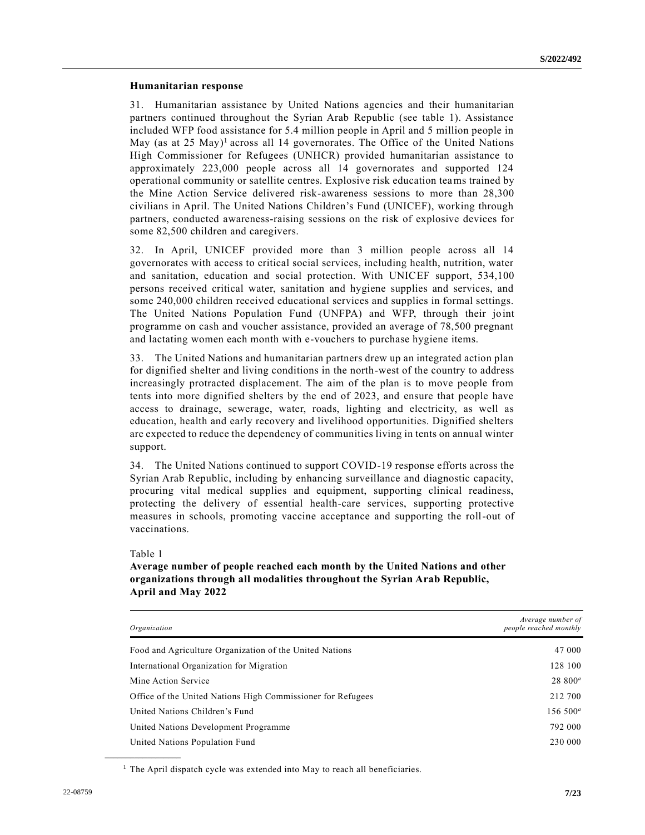## **Humanitarian response**

31. Humanitarian assistance by United Nations agencies and their humanitarian partners continued throughout the Syrian Arab Republic (see table 1). Assistance included WFP food assistance for 5.4 million people in April and 5 million people in May (as at 25 May)<sup>1</sup> across all 14 governorates. The Office of the United Nations High Commissioner for Refugees (UNHCR) provided humanitarian assistance to approximately 223,000 people across all 14 governorates and supported 124 operational community or satellite centres. Explosive risk education teams trained by the Mine Action Service delivered risk-awareness sessions to more than 28,300 civilians in April. The United Nations Children's Fund (UNICEF), working through partners, conducted awareness-raising sessions on the risk of explosive devices for some 82,500 children and caregivers.

32. In April, UNICEF provided more than 3 million people across all 14 governorates with access to critical social services, including health, nutrition, water and sanitation, education and social protection. With UNICEF support, 534,100 persons received critical water, sanitation and hygiene supplies and services, and some 240,000 children received educational services and supplies in formal settings. The United Nations Population Fund (UNFPA) and WFP, through their joint programme on cash and voucher assistance, provided an average of 78,500 pregnant and lactating women each month with e-vouchers to purchase hygiene items.

33. The United Nations and humanitarian partners drew up an integrated action plan for dignified shelter and living conditions in the north-west of the country to address increasingly protracted displacement. The aim of the plan is to move people from tents into more dignified shelters by the end of 2023, and ensure that people have access to drainage, sewerage, water, roads, lighting and electricity, as well as education, health and early recovery and livelihood opportunities. Dignified shelters are expected to reduce the dependency of communities living in tents on annual winter support.

34. The United Nations continued to support COVID-19 response efforts across the Syrian Arab Republic, including by enhancing surveillance and diagnostic capacity, procuring vital medical supplies and equipment, supporting clinical readiness, protecting the delivery of essential health-care services, supporting protective measures in schools, promoting vaccine acceptance and supporting the roll-out of vaccinations.

Table 1

**\_\_\_\_\_\_\_\_\_\_\_\_\_\_\_\_\_\_**

## **Average number of people reached each month by the United Nations and other organizations through all modalities throughout the Syrian Arab Republic, April and May 2022**

| Organization                                                | Average number of<br>people reached monthly |
|-------------------------------------------------------------|---------------------------------------------|
| Food and Agriculture Organization of the United Nations     | 47 000                                      |
| International Organization for Migration                    | 128 100                                     |
| Mine Action Service                                         | $28800^a$                                   |
| Office of the United Nations High Commissioner for Refugees | 212 700                                     |
| United Nations Children's Fund                              | $156\,500^a$                                |
| United Nations Development Programme                        | 792 000                                     |
| United Nations Population Fund                              | 230 000                                     |

<sup>1</sup> The April dispatch cycle was extended into May to reach all beneficiaries.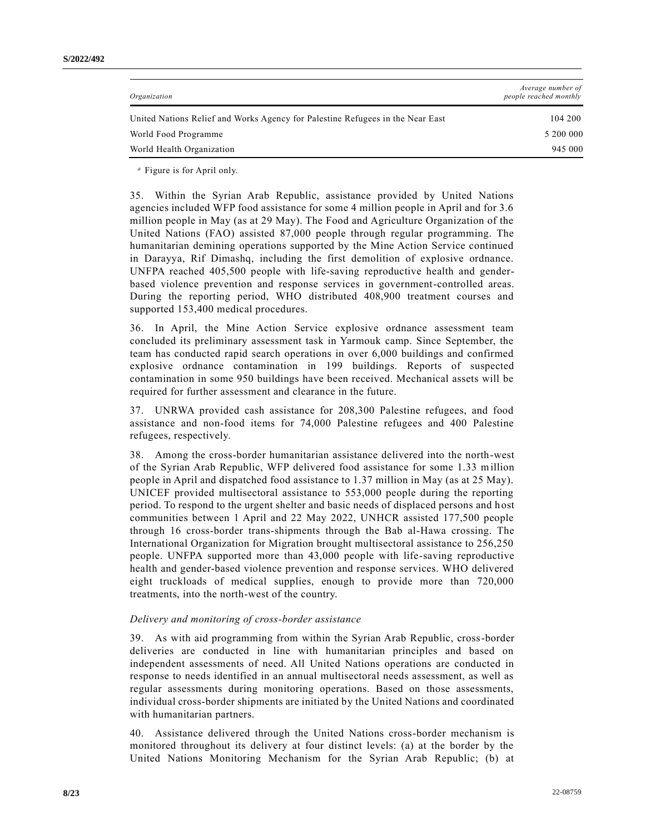| 104 200   |
|-----------|
| 5 200 000 |
| 945 000   |
|           |

*<sup>a</sup>* Figure is for April only.

35. Within the Syrian Arab Republic, assistance provided by United Nations agencies included WFP food assistance for some 4 million people in April and for 3.6 million people in May (as at 29 May). The Food and Agriculture Organization of the United Nations (FAO) assisted 87,000 people through regular programming. The humanitarian demining operations supported by the Mine Action Service continued in Darayya, Rif Dimashq, including the first demolition of explosive ordnance. UNFPA reached 405,500 people with life-saving reproductive health and genderbased violence prevention and response services in government-controlled areas. During the reporting period, WHO distributed 408,900 treatment courses and supported 153,400 medical procedures.

36. In April, the Mine Action Service explosive ordnance assessment team concluded its preliminary assessment task in Yarmouk camp. Since September, the team has conducted rapid search operations in over 6,000 buildings and confirmed explosive ordnance contamination in 199 buildings. Reports of suspected contamination in some 950 buildings have been received. Mechanical assets will be required for further assessment and clearance in the future.

37. UNRWA provided cash assistance for 208,300 Palestine refugees, and food assistance and non-food items for 74,000 Palestine refugees and 400 Palestine refugees, respectively.

38. Among the cross-border humanitarian assistance delivered into the north-west of the Syrian Arab Republic, WFP delivered food assistance for some 1.33 million people in April and dispatched food assistance to 1.37 million in May (as at 25 May). UNICEF provided multisectoral assistance to 553,000 people during the reporting period. To respond to the urgent shelter and basic needs of displaced persons and host communities between 1 April and 22 May 2022, UNHCR assisted 177,500 people through 16 cross-border trans-shipments through the Bab al-Hawa crossing. The International Organization for Migration brought multisectoral assistance to 256,250 people. UNFPA supported more than 43,000 people with life-saving reproductive health and gender-based violence prevention and response services. WHO delivered eight truckloads of medical supplies, enough to provide more than 720,000 treatments, into the north-west of the country.

#### *Delivery and monitoring of cross-border assistance*

39. As with aid programming from within the Syrian Arab Republic, cross-border deliveries are conducted in line with humanitarian principles and based on independent assessments of need. All United Nations operations are conducted in response to needs identified in an annual multisectoral needs assessment, as well as regular assessments during monitoring operations. Based on those assessments, individual cross-border shipments are initiated by the United Nations and coordinated with humanitarian partners.

40. Assistance delivered through the United Nations cross-border mechanism is monitored throughout its delivery at four distinct levels: (a) at the border by the United Nations Monitoring Mechanism for the Syrian Arab Republic; (b) at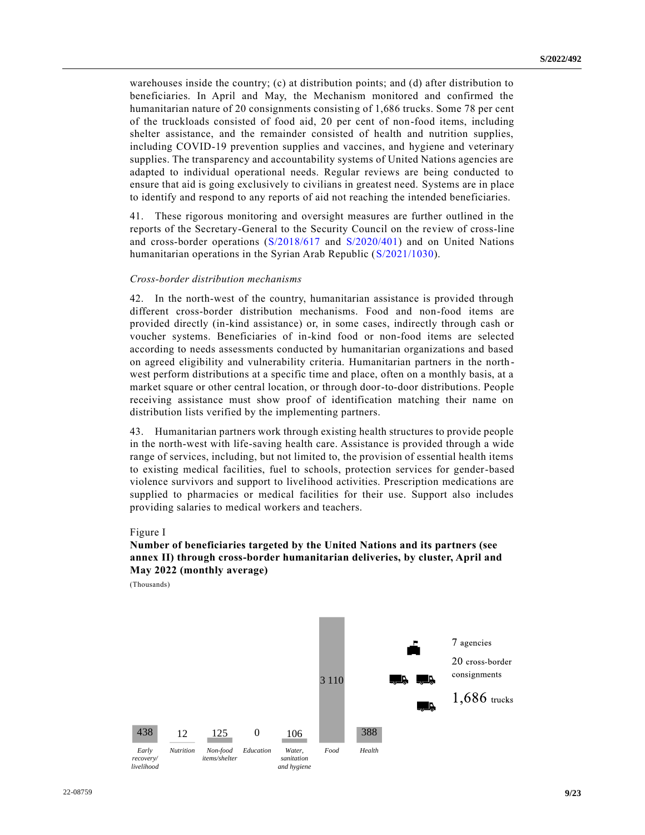warehouses inside the country; (c) at distribution points; and (d) after distribution to beneficiaries. In April and May, the Mechanism monitored and confirmed the humanitarian nature of 20 consignments consisting of 1,686 trucks. Some 78 per cent of the truckloads consisted of food aid, 20 per cent of non-food items, including shelter assistance, and the remainder consisted of health and nutrition supplies, including COVID-19 prevention supplies and vaccines, and hygiene and veterinary supplies. The transparency and accountability systems of United Nations agencies are adapted to individual operational needs. Regular reviews are being conducted to ensure that aid is going exclusively to civilians in greatest need. Systems are in place to identify and respond to any reports of aid not reaching the intended beneficiaries.

41. These rigorous monitoring and oversight measures are further outlined in the reports of the Secretary-General to the Security Council on the review of cross-line and cross-border operations [\(S/2018/617](https://undocs.org/en/S/2018/617) and [S/2020/401\)](https://undocs.org/en/S/2020/401) and on United Nations humanitarian operations in the Syrian Arab Republic [\(S/2021/1030\)](https://undocs.org/en/S/2021/1030).

## *Cross-border distribution mechanisms*

42. In the north-west of the country, humanitarian assistance is provided through different cross-border distribution mechanisms. Food and non-food items are provided directly (in-kind assistance) or, in some cases, indirectly through cash or voucher systems. Beneficiaries of in-kind food or non-food items are selected according to needs assessments conducted by humanitarian organizations and based on agreed eligibility and vulnerability criteria. Humanitarian partners in the north west perform distributions at a specific time and place, often on a monthly basis, at a market square or other central location, or through door-to-door distributions. People receiving assistance must show proof of identification matching their name on distribution lists verified by the implementing partners.

43. Humanitarian partners work through existing health structures to provide people in the north-west with life-saving health care. Assistance is provided through a wide range of services, including, but not limited to, the provision of essential health items to existing medical facilities, fuel to schools, protection services for gender-based violence survivors and support to livelihood activities. Prescription medications are supplied to pharmacies or medical facilities for their use. Support also includes providing salaries to medical workers and teachers.

#### Figure I

## **Number of beneficiaries targeted by the United Nations and its partners (see annex II) through cross-border humanitarian deliveries, by cluster, April and May 2022 (monthly average)**

(Thousands)

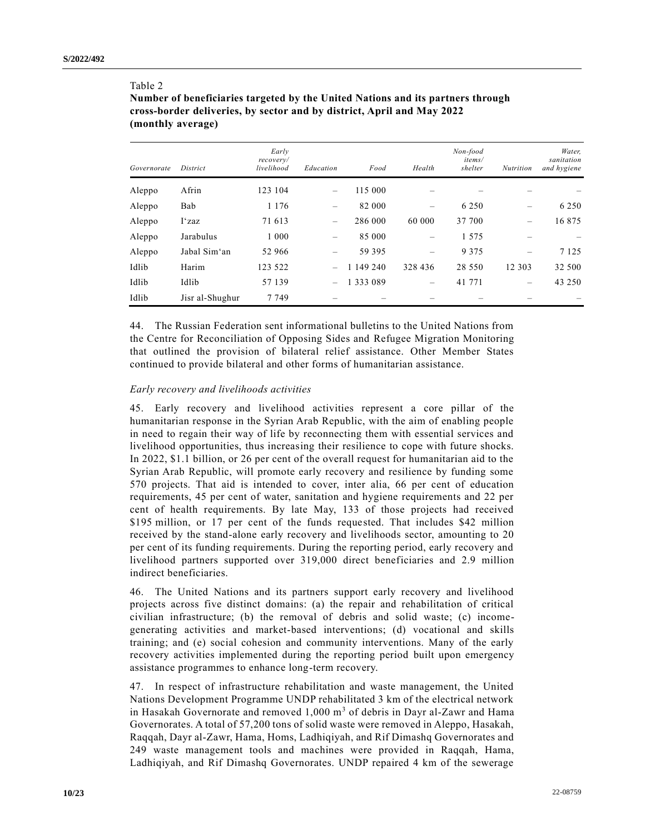## Table 2

**Number of beneficiaries targeted by the United Nations and its partners through cross-border deliveries, by sector and by district, April and May 2022 (monthly average)** 

| Governorate | District        | Early<br>recovery/<br>livelihood | Education                | Food          | Health  | Non-food<br>items/<br>shelter | <b>Nutrition</b> | Water,<br>sanitation<br>and hygiene |
|-------------|-----------------|----------------------------------|--------------------------|---------------|---------|-------------------------------|------------------|-------------------------------------|
| Aleppo      | Afrin           | 123 104                          |                          | 115 000       |         |                               |                  |                                     |
| Aleppo      | Bab             | 1 1 7 6                          | -                        | 82 000        |         | 6 2 5 0                       |                  | 6 2 5 0                             |
| Aleppo      | I'zaz           | 71 613                           | $\overline{\phantom{m}}$ | 286 000       | 60 000  | 37 700                        |                  | 16875                               |
| Aleppo      | Jarabulus       | 1 0 0 0                          |                          | 85 000        |         | 1 5 7 5                       |                  |                                     |
| Aleppo      | Jabal Sim'an    | 52 966                           |                          | 59 395        |         | 9 3 7 5                       |                  | 7 1 2 5                             |
| Idlib       | Harim           | 123 522                          |                          | 1 149 240     | 328 436 | 28 5 5 0                      | 12 3 0 3         | 32 500                              |
| Idlib       | Idlib           | 57 139                           | $\overline{\phantom{m}}$ | 1 3 3 3 0 8 9 |         | 41 771                        |                  | 43 250                              |
| Idlib       | Jisr al-Shughur | 7 7 4 9                          |                          |               |         |                               |                  |                                     |

44. The Russian Federation sent informational bulletins to the United Nations from the Centre for Reconciliation of Opposing Sides and Refugee Migration Monitoring that outlined the provision of bilateral relief assistance. Other Member States continued to provide bilateral and other forms of humanitarian assistance.

## *Early recovery and livelihoods activities*

45. Early recovery and livelihood activities represent a core pillar of the humanitarian response in the Syrian Arab Republic, with the aim of enabling people in need to regain their way of life by reconnecting them with essential services and livelihood opportunities, thus increasing their resilience to cope with future shocks. In 2022, \$1.1 billion, or 26 per cent of the overall request for humanitarian aid to the Syrian Arab Republic, will promote early recovery and resilience by funding some 570 projects. That aid is intended to cover, inter alia, 66 per cent of education requirements, 45 per cent of water, sanitation and hygiene requirements and 22 per cent of health requirements. By late May, 133 of those projects had received \$195 million, or 17 per cent of the funds requested. That includes \$42 million received by the stand-alone early recovery and livelihoods sector, amounting to 20 per cent of its funding requirements. During the reporting period, early recovery and livelihood partners supported over 319,000 direct beneficiaries and 2.9 million indirect beneficiaries.

46. The United Nations and its partners support early recovery and livelihood projects across five distinct domains: (a) the repair and rehabilitation of critical civilian infrastructure; (b) the removal of debris and solid waste; (c) incomegenerating activities and market-based interventions; (d) vocational and skills training; and (e) social cohesion and community interventions. Many of the early recovery activities implemented during the reporting period built upon emergency assistance programmes to enhance long-term recovery.

47. In respect of infrastructure rehabilitation and waste management, the United Nations Development Programme UNDP rehabilitated 3 km of the electrical network in Hasakah Governorate and removed  $1,000 \text{ m}^3$  of debris in Dayr al-Zawr and Hama Governorates. A total of 57,200 tons of solid waste were removed in Aleppo, Hasakah, Raqqah, Dayr al-Zawr, Hama, Homs, Ladhiqiyah, and Rif Dimashq Governorates and 249 waste management tools and machines were provided in Raqqah, Hama, Ladhiqiyah, and Rif Dimashq Governorates. UNDP repaired 4 km of the sewerage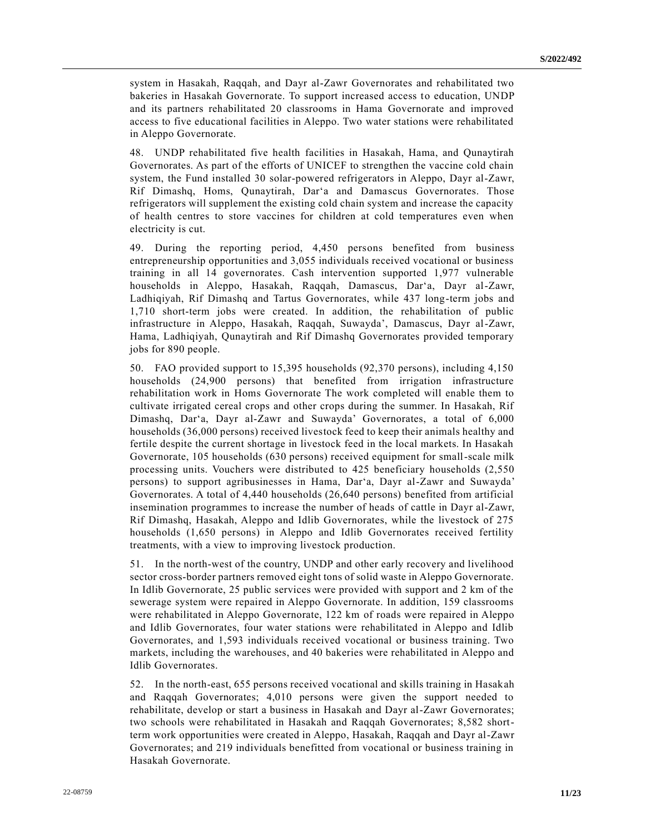system in Hasakah, Raqqah, and Dayr al-Zawr Governorates and rehabilitated two bakeries in Hasakah Governorate. To support increased access to education, UNDP and its partners rehabilitated 20 classrooms in Hama Governorate and improved access to five educational facilities in Aleppo. Two water stations were rehabilitated in Aleppo Governorate.

48. UNDP rehabilitated five health facilities in Hasakah, Hama, and Qunaytirah Governorates. As part of the efforts of UNICEF to strengthen the vaccine cold chain system, the Fund installed 30 solar-powered refrigerators in Aleppo, Dayr al-Zawr, Rif Dimashq, Homs, Qunaytirah, Dar'a and Damascus Governorates. Those refrigerators will supplement the existing cold chain system and increase the capacity of health centres to store vaccines for children at cold temperatures even when electricity is cut.

49. During the reporting period, 4,450 persons benefited from business entrepreneurship opportunities and 3,055 individuals received vocational or business training in all 14 governorates. Cash intervention supported 1,977 vulnerable households in Aleppo, Hasakah, Raqqah, Damascus, Dar'a, Dayr al-Zawr, Ladhiqiyah, Rif Dimashq and Tartus Governorates, while 437 long-term jobs and 1,710 short-term jobs were created. In addition, the rehabilitation of public infrastructure in Aleppo, Hasakah, Raqqah, Suwayda', Damascus, Dayr al-Zawr, Hama, Ladhiqiyah, Qunaytirah and Rif Dimashq Governorates provided temporary jobs for 890 people.

50. FAO provided support to 15,395 households (92,370 persons), including 4,150 households (24,900 persons) that benefited from irrigation infrastructure rehabilitation work in Homs Governorate The work completed will enable them to cultivate irrigated cereal crops and other crops during the summer. In Hasakah, Rif Dimashq, Dar'a, Dayr al-Zawr and Suwayda' Governorates, a total of 6,000 households (36,000 persons) received livestock feed to keep their animals healthy and fertile despite the current shortage in livestock feed in the local markets. In Hasakah Governorate, 105 households (630 persons) received equipment for small-scale milk processing units. Vouchers were distributed to 425 beneficiary households (2,550 persons) to support agribusinesses in Hama, Dar'a, Dayr al-Zawr and Suwayda' Governorates. A total of 4,440 households (26,640 persons) benefited from artificial insemination programmes to increase the number of heads of cattle in Dayr al-Zawr, Rif Dimashq, Hasakah, Aleppo and Idlib Governorates, while the livestock of 275 households (1,650 persons) in Aleppo and Idlib Governorates received fertility treatments, with a view to improving livestock production.

51. In the north-west of the country, UNDP and other early recovery and livelihood sector cross-border partners removed eight tons of solid waste in Aleppo Governorate. In Idlib Governorate, 25 public services were provided with support and 2 km of the sewerage system were repaired in Aleppo Governorate. In addition, 159 classrooms were rehabilitated in Aleppo Governorate, 122 km of roads were repaired in Aleppo and Idlib Governorates, four water stations were rehabilitated in Aleppo and Idlib Governorates, and 1,593 individuals received vocational or business training. Two markets, including the warehouses, and 40 bakeries were rehabilitated in Aleppo and Idlib Governorates.

52. In the north-east, 655 persons received vocational and skills training in Hasakah and Raqqah Governorates; 4,010 persons were given the support needed to rehabilitate, develop or start a business in Hasakah and Dayr al-Zawr Governorates; two schools were rehabilitated in Hasakah and Raqqah Governorates; 8,582 shortterm work opportunities were created in Aleppo, Hasakah, Raqqah and Dayr al-Zawr Governorates; and 219 individuals benefitted from vocational or business training in Hasakah Governorate.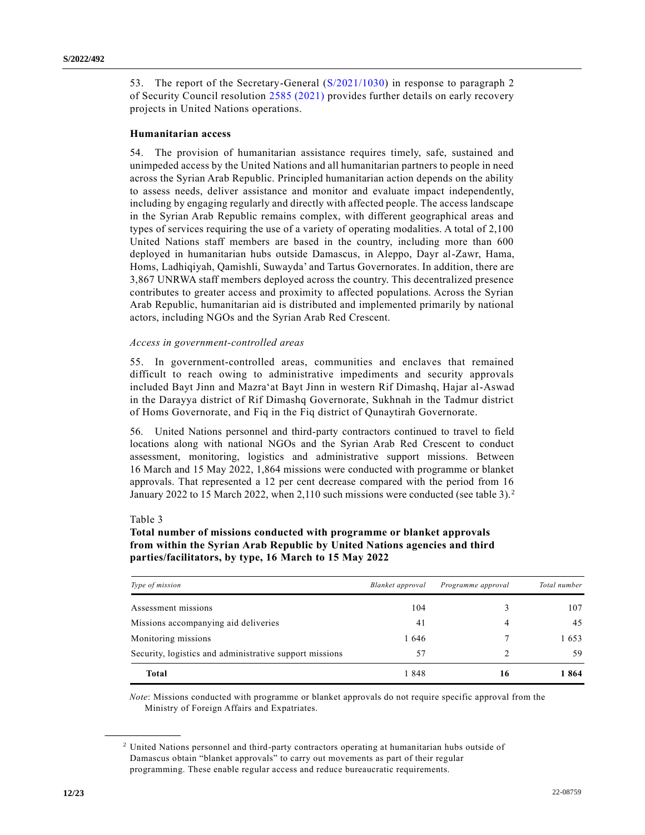53. The report of the Secretary-General [\(S/2021/1030\)](https://undocs.org/en/S/2021/1030) in response to paragraph 2 of Security Council resolution [2585 \(2021\)](https://undocs.org/en/S/RES/2585(2021)) provides further details on early recovery projects in United Nations operations.

## **Humanitarian access**

54. The provision of humanitarian assistance requires timely, safe, sustained and unimpeded access by the United Nations and all humanitarian partners to people in need across the Syrian Arab Republic. Principled humanitarian action depends on the ability to assess needs, deliver assistance and monitor and evaluate impact independently, including by engaging regularly and directly with affected people. The access landscape in the Syrian Arab Republic remains complex, with different geographical areas and types of services requiring the use of a variety of operating modalities. A total of 2,100 United Nations staff members are based in the country, including more than 600 deployed in humanitarian hubs outside Damascus, in Aleppo, Dayr al-Zawr, Hama, Homs, Ladhiqiyah, Qamishli, Suwayda' and Tartus Governorates. In addition, there are 3,867 UNRWA staff members deployed across the country. This decentralized presence contributes to greater access and proximity to affected populations. Across the Syrian Arab Republic, humanitarian aid is distributed and implemented primarily by national actors, including NGOs and the Syrian Arab Red Crescent.

### *Access in government-controlled areas*

55. In government-controlled areas, communities and enclaves that remained difficult to reach owing to administrative impediments and security approvals included Bayt Jinn and Mazra'at Bayt Jinn in western Rif Dimashq, Hajar al-Aswad in the Darayya district of Rif Dimashq Governorate, Sukhnah in the Tadmur district of Homs Governorate, and Fiq in the Fiq district of Qunaytirah Governorate.

56. United Nations personnel and third-party contractors continued to travel to field locations along with national NGOs and the Syrian Arab Red Crescent to conduct assessment, monitoring, logistics and administrative support missions. Between 16 March and 15 May 2022, 1,864 missions were conducted with programme or blanket approvals. That represented a 12 per cent decrease compared with the period from 16 January 2022 to 15 March 2022, when 2,110 such missions were conducted (see table 3).<sup>2</sup>

#### Table 3

**\_\_\_\_\_\_\_\_\_\_\_\_\_\_\_\_\_\_**

## **Total number of missions conducted with programme or blanket approvals from within the Syrian Arab Republic by United Nations agencies and third parties/facilitators, by type, 16 March to 15 May 2022**

| Type of mission                                         | Blanket approval | Programme approval | Total number |
|---------------------------------------------------------|------------------|--------------------|--------------|
| Assessment missions                                     | 104              |                    | 107          |
| Missions accompanying aid deliveries                    | 41               | 4                  | 45           |
| Monitoring missions                                     | 1646             |                    | 1653         |
| Security, logistics and administrative support missions | 57               |                    | 59           |
| Total                                                   | 1848             | 16                 | 1864         |

*Note*: Missions conducted with programme or blanket approvals do not require specific approval from the Ministry of Foreign Affairs and Expatriates.

<sup>2</sup> United Nations personnel and third-party contractors operating at humanitarian hubs outside of Damascus obtain "blanket approvals" to carry out movements as part of their regular programming. These enable regular access and reduce bureaucratic requirements.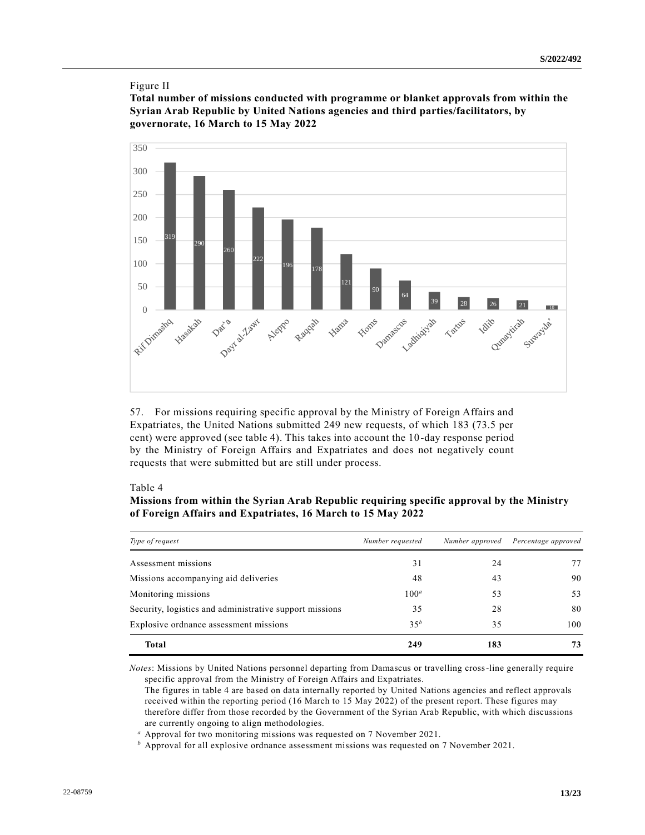## Figure II

**Total number of missions conducted with programme or blanket approvals from within the Syrian Arab Republic by United Nations agencies and third parties/facilitators, by governorate, 16 March to 15 May 2022**



57. For missions requiring specific approval by the Ministry of Foreign Affairs and Expatriates, the United Nations submitted 249 new requests, of which 183 (73.5 per cent) were approved (see table 4). This takes into account the 10-day response period by the Ministry of Foreign Affairs and Expatriates and does not negatively count requests that were submitted but are still under process.

## Table 4

| Missions from within the Syrian Arab Republic requiring specific approval by the Ministry |  |
|-------------------------------------------------------------------------------------------|--|
| of Foreign Affairs and Expatriates, 16 March to 15 May 2022                               |  |

| Type of request                                         | Number requested | Number approved | Percentage approved |
|---------------------------------------------------------|------------------|-----------------|---------------------|
| Assessment missions                                     | 31               | 24              | 77                  |
| Missions accompanying aid deliveries                    | 48               | 43              | 90                  |
| Monitoring missions                                     | $100^a$          | 53              | 53                  |
| Security, logistics and administrative support missions | 35               | 28              | 80                  |
| Explosive ordnance assessment missions                  | 35 <sup>b</sup>  | 35              | 100                 |
| <b>Total</b>                                            | 249              | 183             | 73                  |

*Notes*: Missions by United Nations personnel departing from Damascus or travelling cross-line generally require specific approval from the Ministry of Foreign Affairs and Expatriates.

The figures in table 4 are based on data internally reported by United Nations agencies and reflect approvals received within the reporting period (16 March to 15 May 2022) of the present report. These figures may therefore differ from those recorded by the Government of the Syrian Arab Republic, with which discussions are currently ongoing to align methodologies.

*<sup>a</sup>* Approval for two monitoring missions was requested on 7 November 2021.

*<sup>b</sup>* Approval for all explosive ordnance assessment missions was requested on 7 November 2021.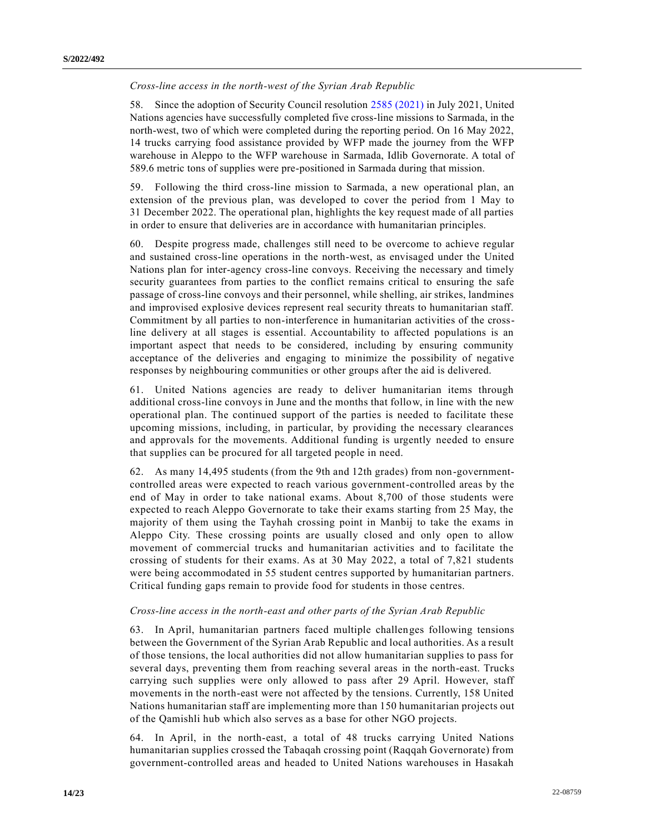## *Cross-line access in the north-west of the Syrian Arab Republic*

58. Since the adoption of Security Council resolution [2585 \(2021\)](https://undocs.org/en/S/RES/2585(2021)) in July 2021, United Nations agencies have successfully completed five cross-line missions to Sarmada, in the north-west, two of which were completed during the reporting period. On 16 May 2022, 14 trucks carrying food assistance provided by WFP made the journey from the WFP warehouse in Aleppo to the WFP warehouse in Sarmada, Idlib Governorate. A total of 589.6 metric tons of supplies were pre-positioned in Sarmada during that mission.

59. Following the third cross-line mission to Sarmada, a new operational plan, an extension of the previous plan, was developed to cover the period from 1 May to 31 December 2022. The operational plan, highlights the key request made of all parties in order to ensure that deliveries are in accordance with humanitarian principles.

60. Despite progress made, challenges still need to be overcome to achieve regular and sustained cross-line operations in the north-west, as envisaged under the United Nations plan for inter-agency cross-line convoys. Receiving the necessary and timely security guarantees from parties to the conflict remains critical to ensuring the safe passage of cross-line convoys and their personnel, while shelling, air strikes, landmines and improvised explosive devices represent real security threats to humanitarian staff. Commitment by all parties to non-interference in humanitarian activities of the crossline delivery at all stages is essential. Accountability to affected populations is an important aspect that needs to be considered, including by ensuring community acceptance of the deliveries and engaging to minimize the possibility of negative responses by neighbouring communities or other groups after the aid is delivered.

61. United Nations agencies are ready to deliver humanitarian items through additional cross-line convoys in June and the months that follow, in line with the new operational plan. The continued support of the parties is needed to facilitate these upcoming missions, including, in particular, by providing the necessary clearances and approvals for the movements. Additional funding is urgently needed to ensure that supplies can be procured for all targeted people in need.

62. As many 14,495 students (from the 9th and 12th grades) from non-governmentcontrolled areas were expected to reach various government-controlled areas by the end of May in order to take national exams. About 8,700 of those students were expected to reach Aleppo Governorate to take their exams starting from 25 May, the majority of them using the Tayhah crossing point in Manbij to take the exams in Aleppo City. These crossing points are usually closed and only open to allow movement of commercial trucks and humanitarian activities and to facilitate the crossing of students for their exams. As at 30 May 2022, a total of 7,821 students were being accommodated in 55 student centres supported by humanitarian partners. Critical funding gaps remain to provide food for students in those centres.

#### *Cross-line access in the north-east and other parts of the Syrian Arab Republic*

63. In April, humanitarian partners faced multiple challenges following tensions between the Government of the Syrian Arab Republic and local authorities. As a result of those tensions, the local authorities did not allow humanitarian supplies to pass for several days, preventing them from reaching several areas in the north-east. Trucks carrying such supplies were only allowed to pass after 29 April. However, staff movements in the north-east were not affected by the tensions. Currently, 158 United Nations humanitarian staff are implementing more than 150 humanitarian projects out of the Qamishli hub which also serves as a base for other NGO projects.

64. In April, in the north-east, a total of 48 trucks carrying United Nations humanitarian supplies crossed the Tabaqah crossing point (Raqqah Governorate) from government-controlled areas and headed to United Nations warehouses in Hasakah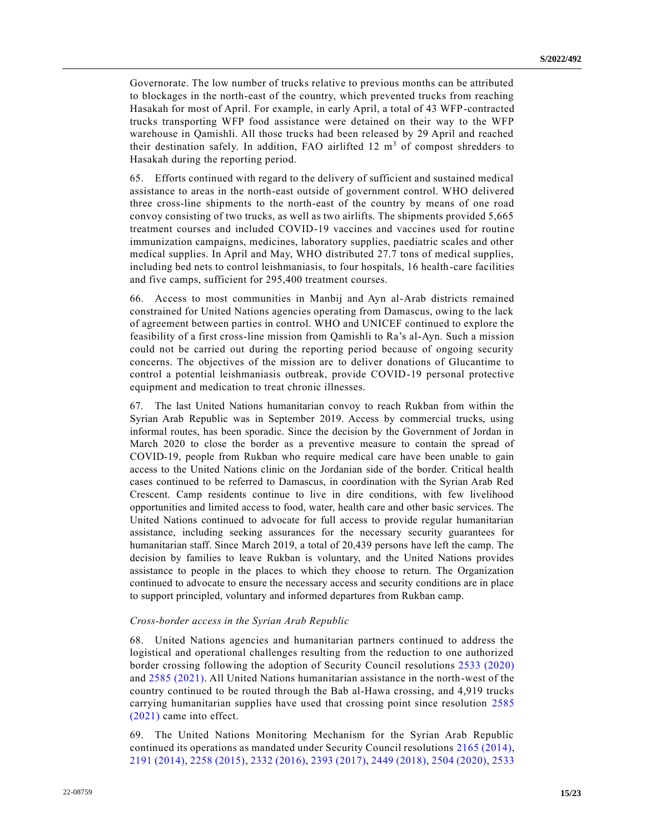Governorate. The low number of trucks relative to previous months can be attributed to blockages in the north-east of the country, which prevented trucks from reaching Hasakah for most of April. For example, in early April, a total of 43 WFP-contracted trucks transporting WFP food assistance were detained on their way to the WFP warehouse in Qamishli. All those trucks had been released by 29 April and reached their destination safely. In addition, FAO airlifted  $12 \text{ m}^3$  of compost shredders to Hasakah during the reporting period.

65. Efforts continued with regard to the delivery of sufficient and sustained medical assistance to areas in the north-east outside of government control. WHO delivered three cross-line shipments to the north-east of the country by means of one road convoy consisting of two trucks, as well as two airlifts. The shipments provided 5,665 treatment courses and included COVID-19 vaccines and vaccines used for routine immunization campaigns, medicines, laboratory supplies, paediatric scales and other medical supplies. In April and May, WHO distributed 27.7 tons of medical supplies, including bed nets to control leishmaniasis, to four hospitals, 16 health-care facilities and five camps, sufficient for 295,400 treatment courses.

66. Access to most communities in Manbij and Ayn al-Arab districts remained constrained for United Nations agencies operating from Damascus, owing to the lack of agreement between parties in control. WHO and UNICEF continued to explore the feasibility of a first cross-line mission from Qamishli to Ra's al-Ayn. Such a mission could not be carried out during the reporting period because of ongoing security concerns. The objectives of the mission are to deliver donations of Glucantime to control a potential leishmaniasis outbreak, provide COVID-19 personal protective equipment and medication to treat chronic illnesses.

67. The last United Nations humanitarian convoy to reach Rukban from within the Syrian Arab Republic was in September 2019. Access by commercial trucks, using informal routes, has been sporadic. Since the decision by the Government of Jordan in March 2020 to close the border as a preventive measure to contain the spread of COVID-19, people from Rukban who require medical care have been unable to gain access to the United Nations clinic on the Jordanian side of the border. Critical health cases continued to be referred to Damascus, in coordination with the Syrian Arab Red Crescent. Camp residents continue to live in dire conditions, with few livelihood opportunities and limited access to food, water, health care and other basic services. The United Nations continued to advocate for full access to provide regular humanitarian assistance, including seeking assurances for the necessary security guarantees for humanitarian staff. Since March 2019, a total of 20,439 persons have left the camp. The decision by families to leave Rukban is voluntary, and the United Nations provides assistance to people in the places to which they choose to return. The Organization continued to advocate to ensure the necessary access and security conditions are in place to support principled, voluntary and informed departures from Rukban camp.

#### *Cross-border access in the Syrian Arab Republic*

68. United Nations agencies and humanitarian partners continued to address the logistical and operational challenges resulting from the reduction to one authorized border crossing following the adoption of Security Council resolutions [2533 \(2020\)](https://undocs.org/en/S/RES/2533(2020)) and [2585 \(2021\).](https://undocs.org/en/S/RES/2585(2021)) All United Nations humanitarian assistance in the north-west of the country continued to be routed through the Bab al-Hawa crossing, and 4,919 trucks carrying humanitarian supplies have used that crossing point since resolution [2585](https://undocs.org/en/S/RES/2585(2021))  [\(2021\)](https://undocs.org/en/S/RES/2585(2021)) came into effect.

69. The United Nations Monitoring Mechanism for the Syrian Arab Republic continued its operations as mandated under Security Council resolutions [2165 \(2014\),](https://undocs.org/en/S/RES/2165(2014)) [2191 \(2014\),](https://undocs.org/en/S/RES/2191(2014)) [2258 \(2015\),](https://undocs.org/en/S/RES/2258(2015)) [2332 \(2016\),](https://undocs.org/en/S/RES/2332(2016)) [2393 \(2017\),](https://undocs.org/en/S/RES/2393(2017)) [2449 \(2018\),](https://undocs.org/en/S/RES/2449(2018)) [2504 \(2020\),](https://undocs.org/en/S/RES/2504(2020)) [2533](https://undocs.org/en/S/RES/2533(2020))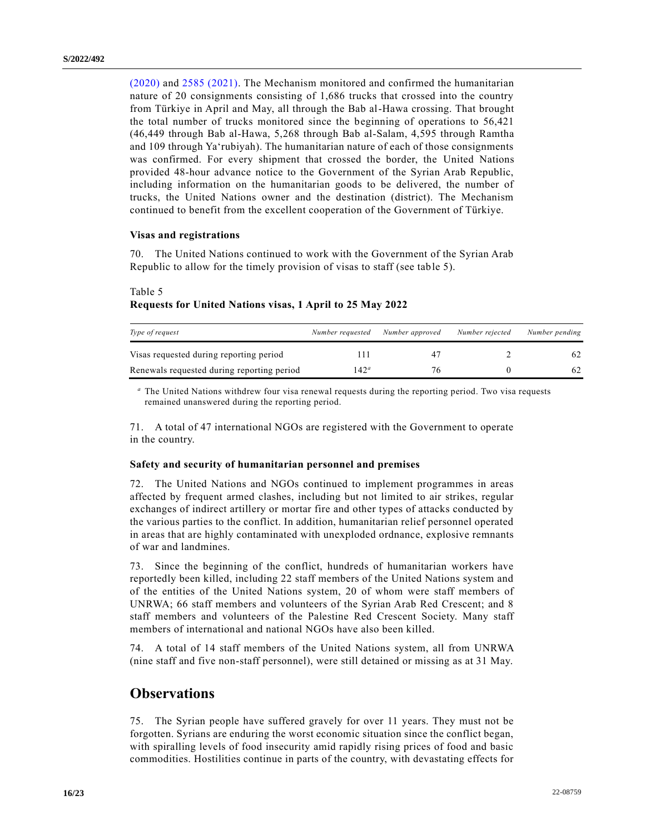[\(2020\)](https://undocs.org/en/S/RES/2533(2020)) and [2585 \(2021\).](https://undocs.org/en/S/RES/2585(2021)) The Mechanism monitored and confirmed the humanitarian nature of 20 consignments consisting of 1,686 trucks that crossed into the country from Türkiye in April and May, all through the Bab al-Hawa crossing. That brought the total number of trucks monitored since the beginning of operations to 56,421 (46,449 through Bab al-Hawa, 5,268 through Bab al-Salam, 4,595 through Ramtha and 109 through Ya'rubiyah). The humanitarian nature of each of those consignments was confirmed. For every shipment that crossed the border, the United Nations provided 48-hour advance notice to the Government of the Syrian Arab Republic, including information on the humanitarian goods to be delivered, the number of trucks, the United Nations owner and the destination (district). The Mechanism continued to benefit from the excellent cooperation of the Government of Türkiye.

## **Visas and registrations**

70. The United Nations continued to work with the Government of the Syrian Arab Republic to allow for the timely provision of visas to staff (see table 5).

| Type of request                            | Number requested | Number approved | Number rejected | Number pending |
|--------------------------------------------|------------------|-----------------|-----------------|----------------|
| Visas requested during reporting period    |                  | 47              |                 | 62             |
| Renewals requested during reporting period | $142^a$          | 76              |                 | 62             |

## Table 5 **Requests for United Nations visas, 1 April to 25 May 2022**

*<sup>a</sup>* The United Nations withdrew four visa renewal requests during the reporting period. Two visa requests remained unanswered during the reporting period.

71. A total of 47 international NGOs are registered with the Government to operate in the country.

## **Safety and security of humanitarian personnel and premises**

72. The United Nations and NGOs continued to implement programmes in areas affected by frequent armed clashes, including but not limited to air strikes, regular exchanges of indirect artillery or mortar fire and other types of attacks conducted by the various parties to the conflict. In addition, humanitarian relief personnel operated in areas that are highly contaminated with unexploded ordnance, explosive remnants of war and landmines.

73. Since the beginning of the conflict, hundreds of humanitarian workers have reportedly been killed, including 22 staff members of the United Nations system and of the entities of the United Nations system, 20 of whom were staff members of UNRWA; 66 staff members and volunteers of the Syrian Arab Red Crescent; and 8 staff members and volunteers of the Palestine Red Crescent Society. Many staff members of international and national NGOs have also been killed.

74. A total of 14 staff members of the United Nations system, all from UNRWA (nine staff and five non-staff personnel), were still detained or missing as at 31 May.

## **Observations**

75. The Syrian people have suffered gravely for over 11 years. They must not be forgotten. Syrians are enduring the worst economic situation since the conflict began, with spiralling levels of food insecurity amid rapidly rising prices of food and basic commodities. Hostilities continue in parts of the country, with devastating effects for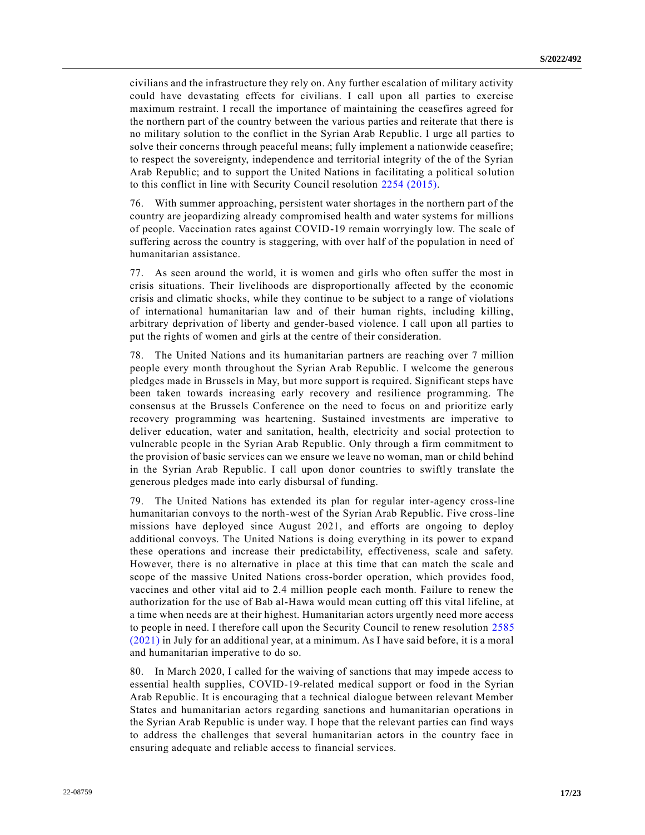civilians and the infrastructure they rely on. Any further escalation of military activity could have devastating effects for civilians. I call upon all parties to exercise maximum restraint. I recall the importance of maintaining the ceasefires agreed for the northern part of the country between the various parties and reiterate that there is no military solution to the conflict in the Syrian Arab Republic. I urge all parties to solve their concerns through peaceful means; fully implement a nationwide ceasefire; to respect the sovereignty, independence and territorial integrity of the of the Syrian Arab Republic; and to support the United Nations in facilitating a political so lution to this conflict in line with Security Council resolution [2254 \(2015\).](https://undocs.org/en/S/RES/2254(2015))

76. With summer approaching, persistent water shortages in the northern part of the country are jeopardizing already compromised health and water systems for millions of people. Vaccination rates against COVID-19 remain worryingly low. The scale of suffering across the country is staggering, with over half of the population in need of humanitarian assistance.

77. As seen around the world, it is women and girls who often suffer the most in crisis situations. Their livelihoods are disproportionally affected by the economic crisis and climatic shocks, while they continue to be subject to a range of violations of international humanitarian law and of their human rights, including killing, arbitrary deprivation of liberty and gender-based violence. I call upon all parties to put the rights of women and girls at the centre of their consideration.

78. The United Nations and its humanitarian partners are reaching over 7 million people every month throughout the Syrian Arab Republic. I welcome the generous pledges made in Brussels in May, but more support is required. Significant steps have been taken towards increasing early recovery and resilience programming. The consensus at the Brussels Conference on the need to focus on and prioritize early recovery programming was heartening. Sustained investments are imperative to deliver education, water and sanitation, health, electricity and social protection to vulnerable people in the Syrian Arab Republic. Only through a firm commitment to the provision of basic services can we ensure we leave no woman, man or child behind in the Syrian Arab Republic. I call upon donor countries to swiftly translate the generous pledges made into early disbursal of funding.

79. The United Nations has extended its plan for regular inter-agency cross-line humanitarian convoys to the north-west of the Syrian Arab Republic. Five cross-line missions have deployed since August 2021, and efforts are ongoing to deploy additional convoys. The United Nations is doing everything in its power to expand these operations and increase their predictability, effectiveness, scale and safety. However, there is no alternative in place at this time that can match the scale and scope of the massive United Nations cross-border operation, which provides food, vaccines and other vital aid to 2.4 million people each month. Failure to renew the authorization for the use of Bab al-Hawa would mean cutting off this vital lifeline, at a time when needs are at their highest. Humanitarian actors urgently need more access to people in need. I therefore call upon the Security Council to renew resolution [2585](https://undocs.org/en/S/RES/2585(2021))  [\(2021\)](https://undocs.org/en/S/RES/2585(2021)) in July for an additional year, at a minimum. As I have said before, it is a moral and humanitarian imperative to do so.

80. In March 2020, I called for the waiving of sanctions that may impede access to essential health supplies, COVID-19-related medical support or food in the Syrian Arab Republic. It is encouraging that a technical dialogue between relevant Member States and humanitarian actors regarding sanctions and humanitarian operations in the Syrian Arab Republic is under way. I hope that the relevant parties can find ways to address the challenges that several humanitarian actors in the country face in ensuring adequate and reliable access to financial services.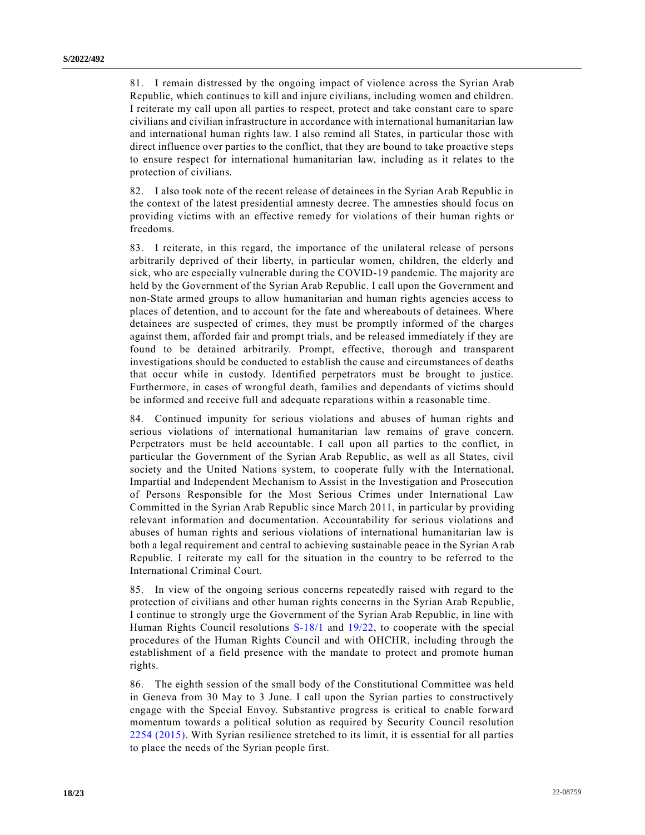81. I remain distressed by the ongoing impact of violence across the Syrian Arab Republic, which continues to kill and injure civilians, including women and children. I reiterate my call upon all parties to respect, protect and take constant care to spare civilians and civilian infrastructure in accordance with international humanitarian law and international human rights law. I also remind all States, in particular those with direct influence over parties to the conflict, that they are bound to take proactive steps to ensure respect for international humanitarian law, including as it relates to the protection of civilians.

82. I also took note of the recent release of detainees in the Syrian Arab Republic in the context of the latest presidential amnesty decree. The amnesties should focus on providing victims with an effective remedy for violations of their human rights or freedoms.

83. I reiterate, in this regard, the importance of the unilateral release of persons arbitrarily deprived of their liberty, in particular women, children, the elderly and sick, who are especially vulnerable during the COVID-19 pandemic. The majority are held by the Government of the Syrian Arab Republic. I call upon the Government and non-State armed groups to allow humanitarian and human rights agencies access to places of detention, and to account for the fate and whereabouts of detainees. Where detainees are suspected of crimes, they must be promptly informed of the charges against them, afforded fair and prompt trials, and be released immediately if they are found to be detained arbitrarily. Prompt, effective, thorough and transparent investigations should be conducted to establish the cause and circumstances of deaths that occur while in custody. Identified perpetrators must be brought to justice. Furthermore, in cases of wrongful death, families and dependants of victims should be informed and receive full and adequate reparations within a reasonable time.

84. Continued impunity for serious violations and abuses of human rights and serious violations of international humanitarian law remains of grave concern. Perpetrators must be held accountable. I call upon all parties to the conflict, in particular the Government of the Syrian Arab Republic, as well as all States, civil society and the United Nations system, to cooperate fully with the International, Impartial and Independent Mechanism to Assist in the Investigation and Prosecution of Persons Responsible for the Most Serious Crimes under International Law Committed in the Syrian Arab Republic since March 2011, in particular by providing relevant information and documentation. Accountability for serious violations and abuses of human rights and serious violations of international humanitarian law is both a legal requirement and central to achieving sustainable peace in the Syrian Arab Republic. I reiterate my call for the situation in the country to be referred to the International Criminal Court.

85. In view of the ongoing serious concerns repeatedly raised with regard to the protection of civilians and other human rights concerns in the Syrian Arab Republic, I continue to strongly urge the Government of the Syrian Arab Republic, in line with Human Rights Council resolutions [S-18/1](https://undocs.org/en/A/HRC/RES/S-18/1) and [19/22,](https://undocs.org/en/A/HRC/RES/19/22) to cooperate with the special procedures of the Human Rights Council and with OHCHR, including through the establishment of a field presence with the mandate to protect and promote human rights.

86. The eighth session of the small body of the Constitutional Committee was held in Geneva from 30 May to 3 June. I call upon the Syrian parties to constructively engage with the Special Envoy. Substantive progress is critical to enable forward momentum towards a political solution as required by Security Council resolution [2254 \(2015\).](https://undocs.org/en/S/RES/2254(2015)) With Syrian resilience stretched to its limit, it is essential for all parties to place the needs of the Syrian people first.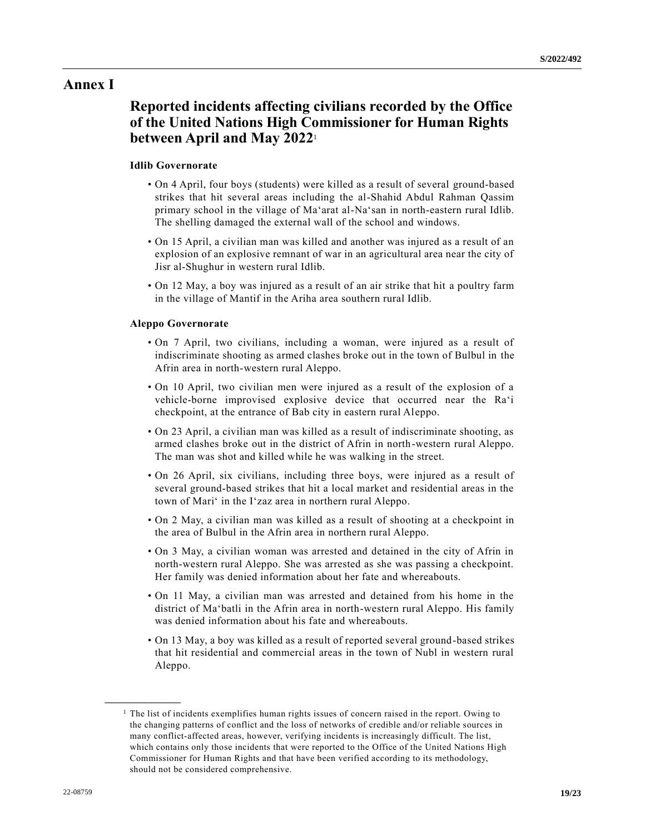## **Annex I**

# **Reported incidents affecting civilians recorded by the Office of the United Nations High Commissioner for Human Rights between April and May 2022**<sup>1</sup>

## **Idlib Governorate**

- On 4 April, four boys (students) were killed as a result of several ground-based strikes that hit several areas including the al-Shahid Abdul Rahman Qassim primary school in the village of Ma'arat al-Na'san in north-eastern rural Idlib. The shelling damaged the external wall of the school and windows.
- On 15 April, a civilian man was killed and another was injured as a result of an explosion of an explosive remnant of war in an agricultural area near the city of Jisr al-Shughur in western rural Idlib.
- On 12 May, a boy was injured as a result of an air strike that hit a poultry farm in the village of Mantif in the Ariha area southern rural Idlib.

## **Aleppo Governorate**

- On 7 April, two civilians, including a woman, were injured as a result of indiscriminate shooting as armed clashes broke out in the town of Bulbul in the Afrin area in north-western rural Aleppo.
- On 10 April, two civilian men were injured as a result of the explosion of a vehicle-borne improvised explosive device that occurred near the Ra'i checkpoint, at the entrance of Bab city in eastern rural Aleppo.
- On 23 April, a civilian man was killed as a result of indiscriminate shooting, as armed clashes broke out in the district of Afrin in north-western rural Aleppo. The man was shot and killed while he was walking in the street.
- On 26 April, six civilians, including three boys, were injured as a result of several ground-based strikes that hit a local market and residential areas in the town of Mari' in the I'zaz area in northern rural Aleppo.
- On 2 May, a civilian man was killed as a result of shooting at a checkpoint in the area of Bulbul in the Afrin area in northern rural Aleppo.
- On 3 May, a civilian woman was arrested and detained in the city of Afrin in north-western rural Aleppo. She was arrested as she was passing a checkpoint. Her family was denied information about her fate and whereabouts.
- On 11 May, a civilian man was arrested and detained from his home in the district of Ma'batli in the Afrin area in north-western rural Aleppo. His family was denied information about his fate and whereabouts.
- On 13 May, a boy was killed as a result of reported several ground-based strikes that hit residential and commercial areas in the town of Nubl in western rural Aleppo.

**\_\_\_\_\_\_\_\_\_\_\_\_\_\_\_\_\_\_**

<sup>&</sup>lt;sup>1</sup> The list of incidents exemplifies human rights issues of concern raised in the report. Owing to the changing patterns of conflict and the loss of networks of credible and/or reliable sources in many conflict-affected areas, however, verifying incidents is increasingly difficult. The list, which contains only those incidents that were reported to the Office of the United Nations High Commissioner for Human Rights and that have been verified according to its methodology, should not be considered comprehensive.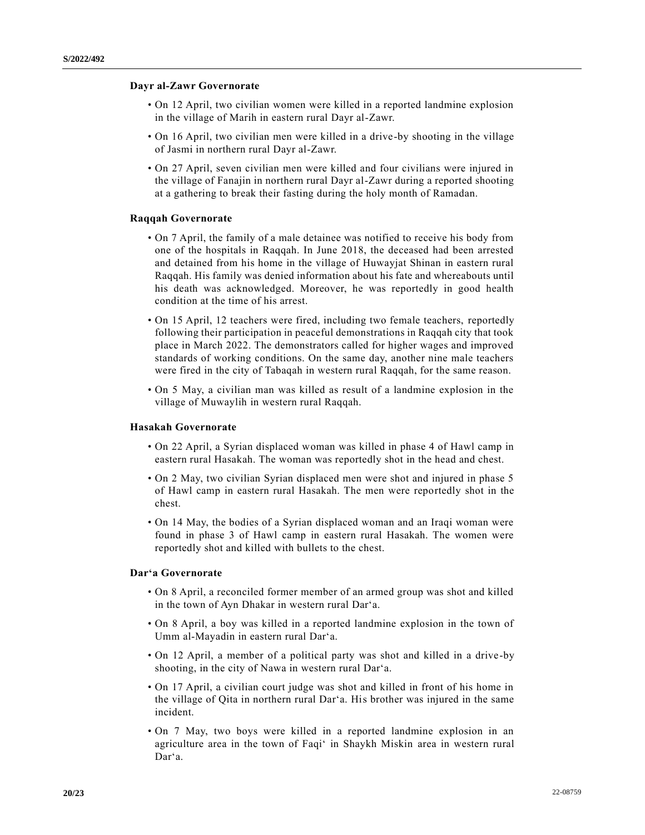## **Dayr al-Zawr Governorate**

- On 12 April, two civilian women were killed in a reported landmine explosion in the village of Marih in eastern rural Dayr al-Zawr.
- On 16 April, two civilian men were killed in a drive-by shooting in the village of Jasmi in northern rural Dayr al-Zawr.
- On 27 April, seven civilian men were killed and four civilians were injured in the village of Fanajin in northern rural Dayr al-Zawr during a reported shooting at a gathering to break their fasting during the holy month of Ramadan.

### **Raqqah Governorate**

- On 7 April, the family of a male detainee was notified to receive his body from one of the hospitals in Raqqah. In June 2018, the deceased had been arrested and detained from his home in the village of Huwayjat Shinan in eastern rural Raqqah. His family was denied information about his fate and whereabouts until his death was acknowledged. Moreover, he was reportedly in good health condition at the time of his arrest.
- On 15 April, 12 teachers were fired, including two female teachers, reportedly following their participation in peaceful demonstrations in Raqqah city that took place in March 2022. The demonstrators called for higher wages and improved standards of working conditions. On the same day, another nine male teachers were fired in the city of Tabaqah in western rural Raqqah, for the same reason.
- On 5 May, a civilian man was killed as result of a landmine explosion in the village of Muwaylih in western rural Raqqah.

#### **Hasakah Governorate**

- On 22 April, a Syrian displaced woman was killed in phase 4 of Hawl camp in eastern rural Hasakah. The woman was reportedly shot in the head and chest.
- On 2 May, two civilian Syrian displaced men were shot and injured in phase 5 of Hawl camp in eastern rural Hasakah. The men were reportedly shot in the chest.
- On 14 May, the bodies of a Syrian displaced woman and an Iraqi woman were found in phase 3 of Hawl camp in eastern rural Hasakah. The women were reportedly shot and killed with bullets to the chest.

#### **Dar'a Governorate**

- On 8 April, a reconciled former member of an armed group was shot and killed in the town of Ayn Dhakar in western rural Dar'a.
- On 8 April, a boy was killed in a reported landmine explosion in the town of Umm al-Mayadin in eastern rural Dar'a.
- On 12 April, a member of a political party was shot and killed in a drive-by shooting, in the city of Nawa in western rural Dar'a.
- On 17 April, a civilian court judge was shot and killed in front of his home in the village of Qita in northern rural Dar'a. His brother was injured in the same incident.
- On 7 May, two boys were killed in a reported landmine explosion in an agriculture area in the town of Faqi' in Shaykh Miskin area in western rural Dar'a.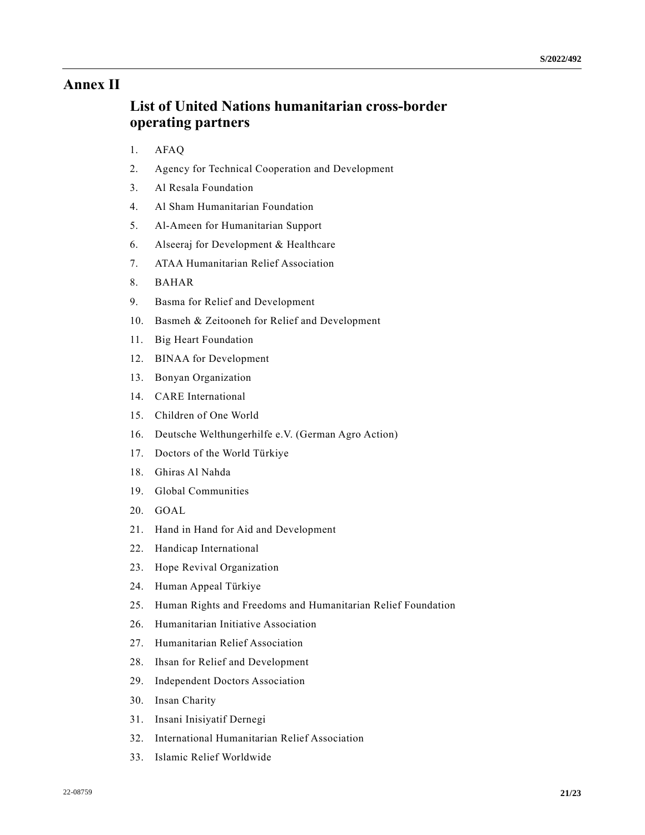# **Annex II**

# **List of United Nations humanitarian cross-border operating partners**

- 1. AFAQ
- 2. Agency for Technical Cooperation and Development
- 3. Al Resala Foundation
- 4. Al Sham Humanitarian Foundation
- 5. Al-Ameen for Humanitarian Support
- 6. Alseeraj for Development & Healthcare
- 7. ATAA Humanitarian Relief Association
- 8. BAHAR
- 9. Basma for Relief and Development
- 10. Basmeh & Zeitooneh for Relief and Development
- 11. Big Heart Foundation
- 12. BINAA for Development
- 13. Bonyan Organization
- 14. CARE International
- 15. Children of One World
- 16. Deutsche Welthungerhilfe e.V. (German Agro Action)
- 17. Doctors of the World Türkiye
- 18. Ghiras Al Nahda
- 19. Global Communities
- 20. GOAL
- 21. Hand in Hand for Aid and Development
- 22. Handicap International
- 23. Hope Revival Organization
- 24. Human Appeal Türkiye
- 25. Human Rights and Freedoms and Humanitarian Relief Foundation
- 26. Humanitarian Initiative Association
- 27. Humanitarian Relief Association
- 28. Ihsan for Relief and Development
- 29. Independent Doctors Association
- 30. Insan Charity
- 31. Insani Inisiyatif Dernegi
- 32. International Humanitarian Relief Association
- 33. Islamic Relief Worldwide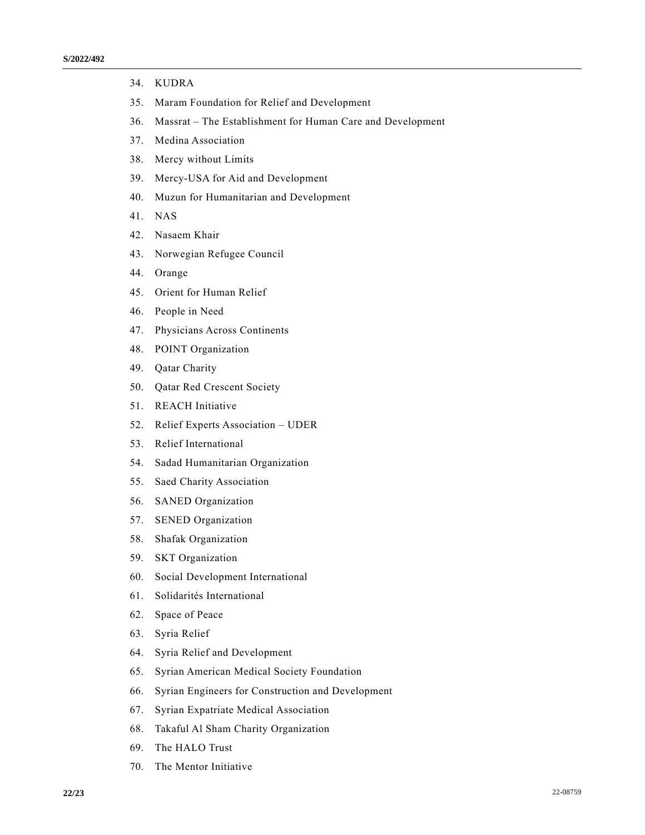- 34. KUDRA
- 35. Maram Foundation for Relief and Development
- 36. Massrat The Establishment for Human Care and Development
- 37. Medina Association
- 38. Mercy without Limits
- 39. Mercy-USA for Aid and Development
- 40. Muzun for Humanitarian and Development
- 41. NAS
- 42. Nasaem Khair
- 43. Norwegian Refugee Council
- 44. Orange
- 45. Orient for Human Relief
- 46. People in Need
- 47. Physicians Across Continents
- 48. POINT Organization
- 49. Qatar Charity
- 50. Qatar Red Crescent Society
- 51. REACH Initiative
- 52. Relief Experts Association UDER
- 53. Relief International
- 54. Sadad Humanitarian Organization
- 55. Saed Charity Association
- 56. SANED Organization
- 57. SENED Organization
- 58. Shafak Organization
- 59. SKT Organization
- 60. Social Development International
- 61. Solidarités International
- 62. Space of Peace
- 63. Syria Relief
- 64. Syria Relief and Development
- 65. Syrian American Medical Society Foundation
- 66. Syrian Engineers for Construction and Development
- 67. Syrian Expatriate Medical Association
- 68. Takaful Al Sham Charity Organization
- 69. The HALO Trust
- 70. The Mentor Initiative